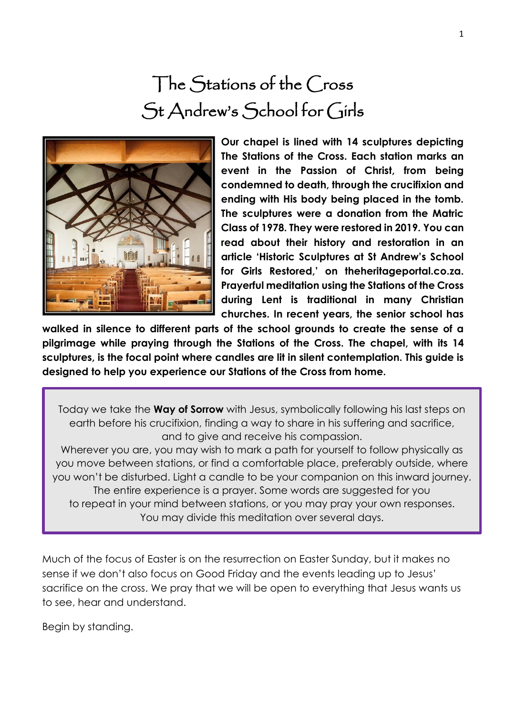# The Stations of the Cross St Andrew's School for Girls



**Our chapel is lined with 14 sculptures depicting The Stations of the Cross. Each station marks an event in the Passion of Christ, from being condemned to death, through the crucifixion and ending with His body being placed in the tomb. The sculptures were a donation from the Matric Class of 1978. They were restored in 2019. You can read about their history and restoration in an article 'Historic Sculptures at St Andrew's School for Girls Restored,' on theheritageportal.co.za. Prayerful meditation using the Stations of the Cross during Lent is traditional in many Christian churches. In recent years, the senior school has** 

**walked in silence to different parts of the school grounds to create the sense of a pilgrimage while praying through the Stations of the Cross. The chapel, with its 14 sculptures, is the focal point where candles are lit in silent contemplation. This guide is designed to help you experience our Stations of the Cross from home.**

Today we take the **Way of Sorrow** with Jesus, symbolically following his last steps on earth before his crucifixion, finding a way to share in his suffering and sacrifice, and to give and receive his compassion.

Wherever you are, you may wish to mark a path for yourself to follow physically as you move between stations, or find a comfortable place, preferably outside, where you won't be disturbed. Light a candle to be your companion on this inward journey. The entire experience is a prayer. Some words are suggested for you to repeat in your mind between stations, or you may pray your own responses. You may divide this meditation over several days.

Much of the focus of Easter is on the resurrection on Easter Sunday, but it makes no sense if we don't also focus on Good Friday and the events leading up to Jesus' sacrifice on the cross. We pray that we will be open to everything that Jesus wants us to see, hear and understand.

Begin by standing.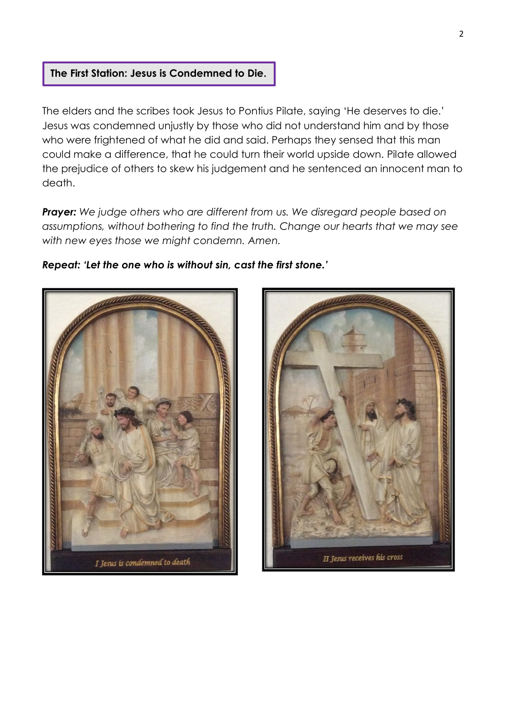## **The First Station: Jesus is Condemned to Die.**

The elders and the scribes took Jesus to Pontius Pilate, saying 'He deserves to die.' Jesus was condemned unjustly by those who did not understand him and by those who were frightened of what he did and said. Perhaps they sensed that this man could make a difference, that he could turn their world upside down. Pilate allowed the prejudice of others to skew his judgement and he sentenced an innocent man to death.

*Prayer: We judge others who are different from us. We disregard people based on assumptions, without bothering to find the truth. Change our hearts that we may see with new eyes those we might condemn. Amen.*

### *Repeat: 'Let the one who is without sin, cast the first stone.'*



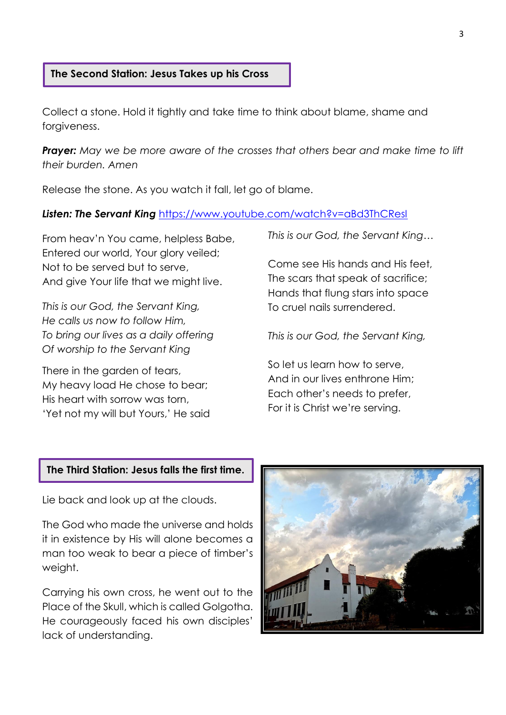#### **The Second Station: Jesus Takes up his Cross**

Collect a stone. Hold it tightly and take time to think about blame, shame and forgiveness.

*Prayer: May we be more aware of the crosses that others bear and make time to lift their burden. Amen*

Release the stone. As you watch it fall, let go of blame.

### *Listen: The Servant King* <https://www.youtube.com/watch?v=aBd3ThCResI>

From heav'n You came, helpless Babe, Entered our world, Your glory veiled; Not to be served but to serve, And give Your life that we might live.

*This is our God, the Servant King, He calls us now to follow Him, To bring our lives as a daily offering Of worship to the Servant King*

There in the garden of tears, My heavy load He chose to bear; His heart with sorrow was torn, 'Yet not my will but Yours,' He said *This is our God, the Servant King…*

Come see His hands and His feet, The scars that speak of sacrifice; Hands that flung stars into space To cruel nails surrendered.

*This is our God, the Servant King,*

So let us learn how to serve, And in our lives enthrone Him; Each other's needs to prefer, For it is Christ we're serving.

#### **The Third Station: Jesus falls the first time.**

Lie back and look up at the clouds.

The God who made the universe and holds it in existence by His will alone becomes a man too weak to bear a piece of timber's weight.

Carrying his own cross, he went out to the Place of the Skull, which is called Golgotha. He courageously faced his own disciples' lack of understanding.

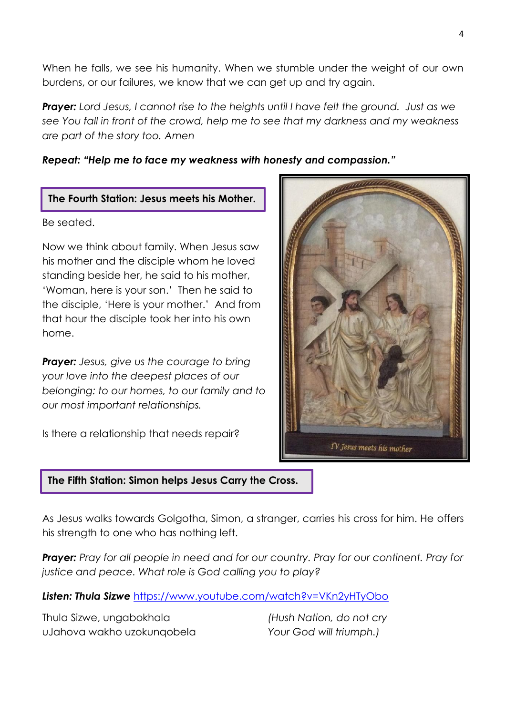When he falls, we see his humanity. When we stumble under the weight of our own burdens, or our failures, we know that we can get up and try again.

**Prayer:** Lord Jesus, I cannot rise to the heights until I have felt the ground. Just as we *see You fall in front of the crowd, help me to see that my darkness and my weakness are part of the story too. Amen*

# *Repeat: "Help me to face my weakness with honesty and compassion."*

# **The Fourth Station: Jesus meets his Mother.**

Be seated.

Now we think about family. When Jesus saw his mother and the disciple whom he loved standing beside her, he said to his mother, 'Woman, here is your son.' Then he said to the disciple, 'Here is your mother.' And from that hour the disciple took her into his own home.

*Prayer: Jesus, give us the courage to bring your love into the deepest places of our belonging: to our homes, to our family and to our most important relationships.* 

Is there a relationship that needs repair?

# IV Jesus meets his mother

# **The Fifth Station: Simon helps Jesus Carry the Cross.**

As Jesus walks towards Golgotha, Simon, a stranger, carries his cross for him. He offers his strength to one who has nothing left.

*Prayer: Pray for all people in need and for our country. Pray for our continent. Pray for justice and peace. What role is God calling you to play?*

*Listen: Thula Sizwe* <https://www.youtube.com/watch?v=VKn2yHTyObo>

Thula Sizwe, ungabokhala uJahova wakho uzokunqobela *(Hush Nation, do not cry Your God will triumph.)*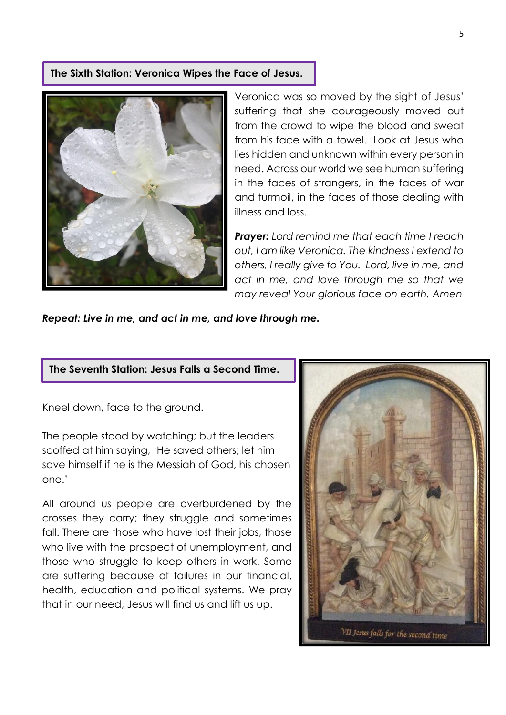#### **The Sixth Station: Veronica Wipes the Face of Jesus.**



Veronica was so moved by the sight of Jesus' suffering that she courageously moved out from the crowd to wipe the blood and sweat from his face with a towel. Look at Jesus who lies hidden and unknown within every person in need. Across our world we see human suffering in the faces of strangers, in the faces of war and turmoil, in the faces of those dealing with illness and loss.

*Prayer: Lord remind me that each time I reach out, I am like Veronica. The kindness I extend to others, I really give to You. Lord, live in me, and act in me, and love through me so that we may reveal Your glorious face on earth. Amen* 

*Repeat: Live in me, and act in me, and love through me.*

#### **The Seventh Station: Jesus Falls a Second Time.**

Kneel down, face to the ground.

The people stood by watching; but the leaders scoffed at him saying, 'He saved others; let him save himself if he is the Messiah of God, his chosen one.'

All around us people are overburdened by the crosses they carry; they struggle and sometimes fall. There are those who have lost their jobs, those who live with the prospect of unemployment, and those who struggle to keep others in work. Some are suffering because of failures in our financial, health, education and political systems. We pray that in our need, Jesus will find us and lift us up.

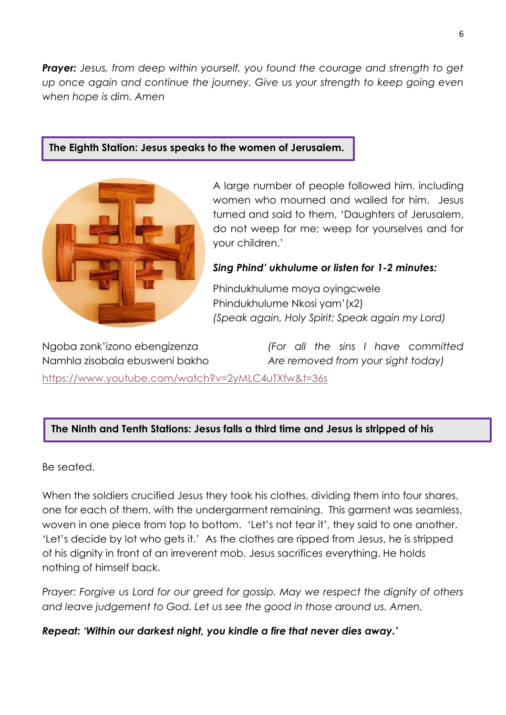**Prayer:** Jesus, from deep within yourself, you found the courage and strength to get *up once again and continue the journey. Give us your strength to keep going even when hope is dim. Amen*

# **The Eighth Station: Jesus speaks to the women of Jerusalem.**



A large number of people followed him, including women who mourned and wailed for him. Jesus turned and said to them, 'Daughters of Jerusalem, do not weep for me; weep for yourselves and for your children.'

# *Sing Phind' ukhulume or listen for 1-2 minutes:*

Phindukhulume moya oyingcwele Phindukhulume Nkosi yam'(x2) *(Speak again, Holy Spirit; Speak again my Lord)*

Ngoba zonk'izono ebengizenza Namhla zisobala ebusweni bakho

*(For all the sins I have committed Are removed from your sight today)*

<https://www.youtube.com/watch?v=2yMLC4uTXfw&t=36s>

# **The Ninth and Tenth Stations: Jesus falls a third time and Jesus is stripped of his**

Be seated.

**garments.**

When the soldiers crucified Jesus they took his clothes, dividing them into four shares, one for each of them, with the undergarment remaining. This garment was seamless, woven in one piece from top to bottom. 'Let's not tear it', they said to one another. 'Let's decide by lot who gets it.' As the clothes are ripped from Jesus, he is stripped of his dignity in front of an irreverent mob. Jesus sacrifices everything. He holds nothing of himself back.

*Prayer: Forgive us Lord for our greed for gossip. May we respect the dignity of others and leave judgement to God. Let us see the good in those around us. Amen.*

*Repeat: 'Within our darkest night, you kindle a fire that never dies away.'*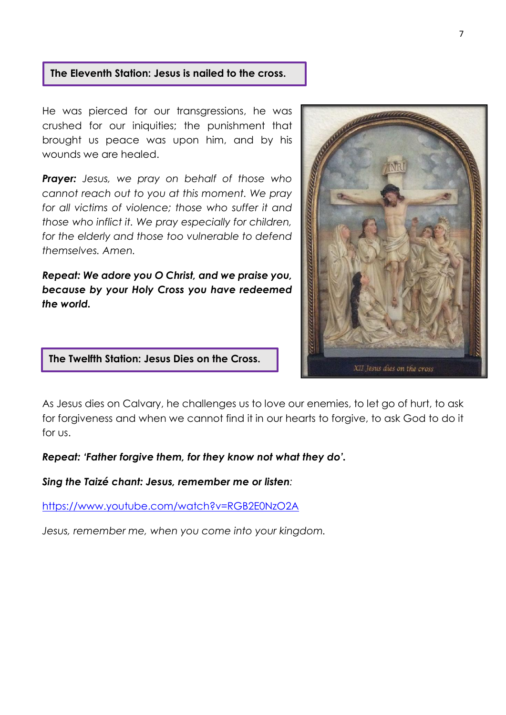## **The Eleventh Station: Jesus is nailed to the cross.**

He was pierced for our transgressions, he was crushed for our iniquities; the punishment that brought us peace was upon him, and by his wounds we are healed.

*Prayer: Jesus, we pray on behalf of those who cannot reach out to you at this moment. We pray for all victims of violence; those who suffer it and those who inflict it. We pray especially for children, for the elderly and those too vulnerable to defend themselves. Amen.*

*Repeat: We adore you O Christ, and we praise you, because by your Holy Cross you have redeemed the world.*



XII Jesus dies on the cross

# **The Twelfth Station: Jesus Dies on the Cross.**

As Jesus dies on Calvary, he challenges us to love our enemies, to let go of hurt, to ask for forgiveness and when we cannot find it in our hearts to forgive, to ask God to do it for us.

#### *Repeat: 'Father forgive them, for they know not what they do'.*

*Sing the Taizé chant: Jesus, remember me or listen:*

<https://www.youtube.com/watch?v=RGB2E0NzO2A>

*Jesus, remember me, when you come into your kingdom.*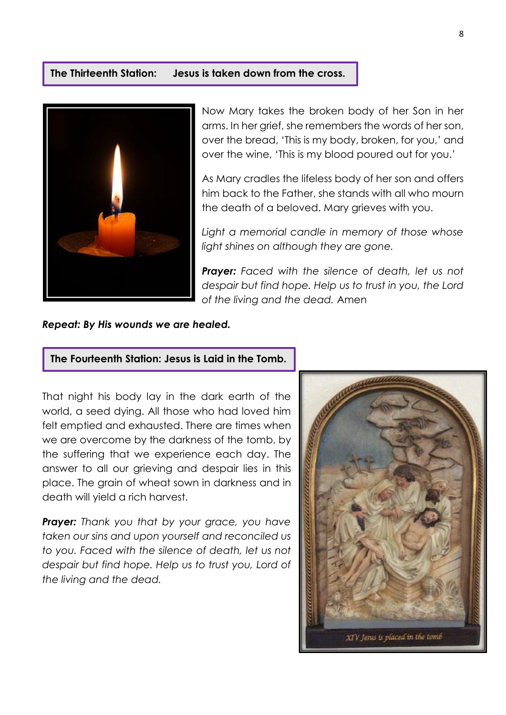#### **The Thirteenth Station: Jesus is taken down from the cross.**



Now Mary takes the broken body of her Son in her arms. In her grief, she remembers the words of her son, over the bread, 'This is my body, broken, for you,' and over the wine, 'This is my blood poured out for you.'

As Mary cradles the lifeless body of her son and offers him back to the Father, she stands with all who mourn the death of a beloved. Mary grieves with you.

*Light a memorial candle in memory of those whose light shines on although they are gone.*

*Prayer: Faced with the silence of death, let us not despair but find hope. Help us to trust in you, the Lord of the living and the dead.* Amen

*Repeat: By His wounds we are healed.*

#### **The Fourteenth Station: Jesus is Laid in the Tomb.**

That night his body lay in the dark earth of the world, a seed dying. All those who had loved him felt emptied and exhausted. There are times when we are overcome by the darkness of the tomb, by the suffering that we experience each day. The answer to all our grieving and despair lies in this place. The grain of wheat sown in darkness and in death will yield a rich harvest.

*Prayer: Thank you that by your grace, you have taken our sins and upon yourself and reconciled us to you. Faced with the silence of death, let us not despair but find hope. Help us to trust you, Lord of the living and the dead.*